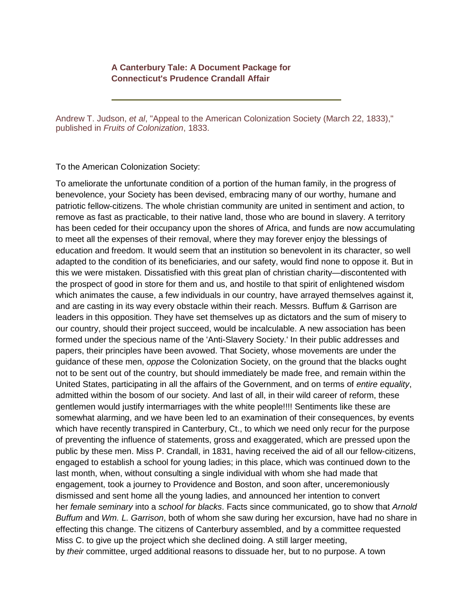## **A Canterbury Tale: A Document Package for Connecticut's Prudence Crandall Affair**

Andrew T. Judson, *et al*, "Appeal to the American Colonization Society (March 22, 1833)," published in *Fruits of Colonization*, 1833.

To the American Colonization Society:

To ameliorate the unfortunate condition of a portion of the human family, in the progress of benevolence, your Society has been devised, embracing many of our worthy, humane and patriotic fellow-citizens. The whole christian community are united in sentiment and action, to remove as fast as practicable, to their native land, those who are bound in slavery. A territory has been ceded for their occupancy upon the shores of Africa, and funds are now accumulating to meet all the expenses of their removal, where they may forever enjoy the blessings of education and freedom. It would seem that an institution so benevolent in its character, so well adapted to the condition of its beneficiaries, and our safety, would find none to oppose it. But in this we were mistaken. Dissatisfied with this great plan of christian charity—discontented with the prospect of good in store for them and us, and hostile to that spirit of enlightened wisdom which animates the cause, a few individuals in our country, have arrayed themselves against it, and are casting in its way every obstacle within their reach. Messrs. Buffum & Garrison are leaders in this opposition. They have set themselves up as dictators and the sum of misery to our country, should their project succeed, would be incalculable. A new association has been formed under the specious name of the 'Anti-Slavery Society.' In their public addresses and papers, their principles have been avowed. That Society, whose movements are under the guidance of these men, *oppose* the Colonization Society, on the ground that the blacks ought not to be sent out of the country, but should immediately be made free, and remain within the United States, participating in all the affairs of the Government, and on terms of *entire equality*, admitted within the bosom of our society. And last of all, in their wild career of reform, these gentlemen would justify intermarriages with the white people!!!! Sentiments like these are somewhat alarming, and we have been led to an examination of their consequences, by events which have recently transpired in Canterbury, Ct., to which we need only recur for the purpose of preventing the influence of statements, gross and exaggerated, which are pressed upon the public by these men. Miss P. Crandall, in 1831, having received the aid of all our fellow-citizens, engaged to establish a school for young ladies; in this place, which was continued down to the last month, when, without consulting a single individual with whom she had made that engagement, took a journey to Providence and Boston, and soon after, unceremoniously dismissed and sent home all the young ladies, and announced her intention to convert her *female seminary* into a *school for blacks*. Facts since communicated, go to show that *Arnold Buffum* and *Wm. L. Garrison*, both of whom she saw during her excursion, have had no share in effecting this change. The citizens of Canterbury assembled, and by a committee requested Miss C. to give up the project which she declined doing. A still larger meeting, by *their* committee, urged additional reasons to dissuade her, but to no purpose. A town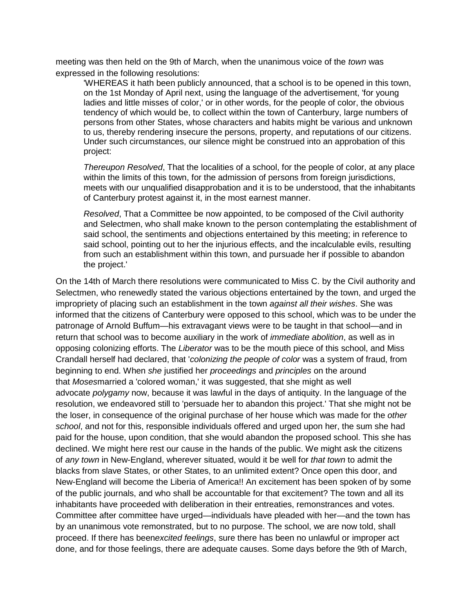meeting was then held on the 9th of March, when the unanimous voice of the *town* was expressed in the following resolutions:

'WHEREAS it hath been publicly announced, that a school is to be opened in this town, on the 1st Monday of April next, using the language of the advertisement, 'for young ladies and little misses of color,' or in other words, for the people of color, the obvious tendency of which would be, to collect within the town of Canterbury, large numbers of persons from other States, whose characters and habits might be various and unknown to us, thereby rendering insecure the persons, property, and reputations of our citizens. Under such circumstances, our silence might be construed into an approbation of this project:

*Thereupon Resolved*, That the localities of a school, for the people of color, at any place within the limits of this town, for the admission of persons from foreign jurisdictions, meets with our unqualified disapprobation and it is to be understood, that the inhabitants of Canterbury protest against it, in the most earnest manner.

*Resolved*, That a Committee be now appointed, to be composed of the Civil authority and Selectmen, who shall make known to the person contemplating the establishment of said school, the sentiments and objections entertained by this meeting; in reference to said school, pointing out to her the injurious effects, and the incalculable evils, resulting from such an establishment within this town, and pursuade her if possible to abandon the project.'

On the 14th of March there resolutions were communicated to Miss C. by the Civil authority and Selectmen, who renewedly stated the various objections entertained by the town, and urged the impropriety of placing such an establishment in the town *against all their wishes*. She was informed that the citizens of Canterbury were opposed to this school, which was to be under the patronage of Arnold Buffum—his extravagant views were to be taught in that school—and in return that school was to become auxiliary in the work of *immediate abolition*, as well as in opposing colonizing efforts. The *Liberator* was to be the mouth piece of this school, and Miss Crandall herself had declared, that '*colonizing the people of color* was a system of fraud, from beginning to end. When *she* justified her *proceedings* and *principles* on the around that *Moses*married a 'colored woman,' it was suggested, that she might as well advocate *polygamy* now, because it was lawful in the days of antiquity. In the language of the resolution, we endeavored still to 'persuade her to abandon this project.' That she might not be the loser, in consequence of the original purchase of her house which was made for the *other school*, and not for this, responsible individuals offered and urged upon her, the sum she had paid for the house, upon condition, that she would abandon the proposed school. This she has declined. We might here rest our cause in the hands of the public. We might ask the citizens of *any town* in New-England, wherever situated, would it be well for *that town* to admit the blacks from slave States, or other States, to an unlimited extent? Once open this door, and New-England will become the Liberia of America!! An excitement has been spoken of by some of the public journals, and who shall be accountable for that excitement? The town and all its inhabitants have proceeded with deliberation in their entreaties, remonstrances and votes. Committee after committee have urged—individuals have pleaded with her—and the town has by an unanimous vote remonstrated, but to no purpose. The school, we are now told, shall proceed. If there has been*excited feelings*, sure there has been no unlawful or improper act done, and for those feelings, there are adequate causes. Some days before the 9th of March,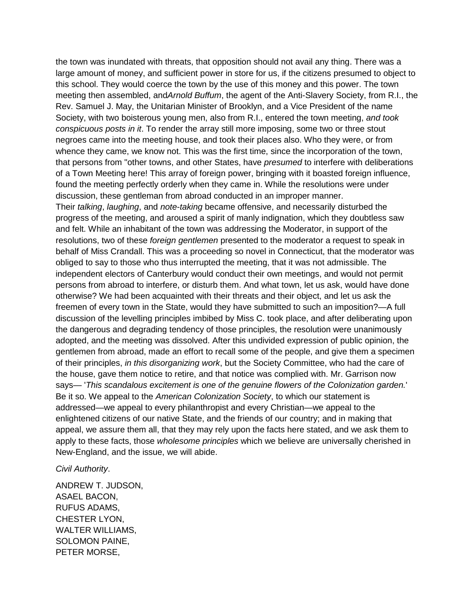the town was inundated with threats, that opposition should not avail any thing. There was a large amount of money, and sufficient power in store for us, if the citizens presumed to object to this school. They would coerce the town by the use of this money and this power. The town meeting then assembled, and*Arnold Buffum*, the agent of the Anti-Slavery Society, from R.I., the Rev. Samuel J. May, the Unitarian Minister of Brooklyn, and a Vice President of the name Society, with two boisterous young men, also from R.I., entered the town meeting, *and took conspicuous posts in it*. To render the array still more imposing, some two or three stout negroes came into the meeting house, and took their places also. Who they were, or from whence they came, we know not. This was the first time, since the incorporation of the town, that persons from "other towns, and other States, have *presumed* to interfere with deliberations of a Town Meeting here! This array of foreign power, bringing with it boasted foreign influence, found the meeting perfectly orderly when they came in. While the resolutions were under discussion, these gentleman from abroad conducted in an improper manner. Their *talking*, *laughing*, and *note-taking* became offensive, and necessarily disturbed the progress of the meeting, and aroused a spirit of manly indignation, which they doubtless saw and felt. While an inhabitant of the town was addressing the Moderator, in support of the resolutions, two of these *foreign gentlemen* presented to the moderator a request to speak in behalf of Miss Crandall. This was a proceeding so novel in Connecticut, that the moderator was obliged to say to those who thus interrupted the meeting, that it was not admissible. The independent electors of Canterbury would conduct their own meetings, and would not permit persons from abroad to interfere, or disturb them. And what town, let us ask, would have done

otherwise? We had been acquainted with their threats and their object, and let us ask the freemen of every town in the State, would they have submitted to such an imposition?—A full discussion of the levelling principles imbibed by Miss C. took place, and after deliberating upon the dangerous and degrading tendency of those principles, the resolution were unanimously adopted, and the meeting was dissolved. After this undivided expression of public opinion, the gentlemen from abroad, made an effort to recall some of the people, and give them a specimen of their principles, *in this disorganizing work*, but the Society Committee, who had the care of the house, gave them notice to retire, and that notice was complied with. Mr. Garrison now says— '*This scandalous excitement is one of the genuine flowers of the Colonization garden.*' Be it so. We appeal to the *American Colonization Society*, to which our statement is addressed—we appeal to every philanthropist and every Christian—we appeal to the enlightened citizens of our native State, and the friends of our country; and in making that appeal, we assure them all, that they may rely upon the facts here stated, and we ask them to apply to these facts, those *wholesome principles* which we believe are universally cherished in New-England, and the issue, we will abide.

## *Civil Authority*.

ANDREW T. JUDSON, ASAEL BACON, RUFUS ADAMS, CHESTER LYON, WALTER WILLIAMS, SOLOMON PAINE, PETER MORSE,